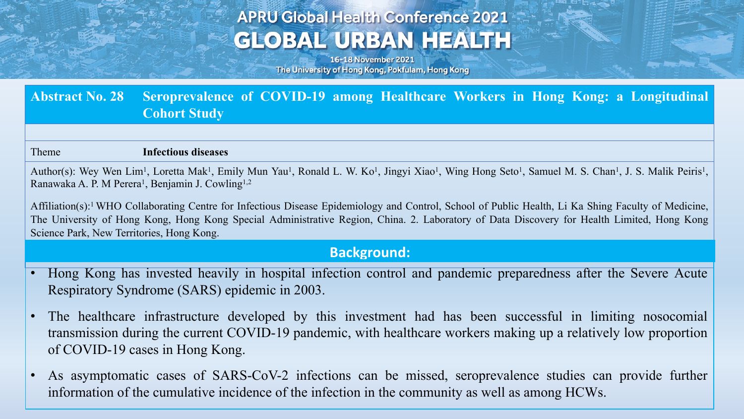# **APRU Global Health Conference 2021 GLOBAL URBAN HEALTH**

16-18 November 2021 The University of Hong Kong, Pokfulam, Hong Kong

### **Abstract No. 28 Seroprevalence of COVID-19 among Healthcare Workers in Hong Kong: a Longitudinal Cohort Study**

#### Theme **Infectious diseases**

Author(s): Wey Wen Lim<sup>1</sup>, Loretta Mak<sup>1</sup>, Emily Mun Yau<sup>1</sup>, Ronald L. W. Ko<sup>1</sup>, Jingyi Xiao<sup>1</sup>, Wing Hong Seto<sup>1</sup>, Samuel M. S. Chan<sup>1</sup>, J. S. Malik Peiris<sup>1</sup>, Ranawaka A. P. M Perera<sup>1</sup>, Benjamin J. Cowling<sup>1,2</sup>

Affiliation(s):1 WHO Collaborating Centre for Infectious Disease Epidemiology and Control, School of Public Health, Li Ka Shing Faculty of Medicine, The University of Hong Kong, Hong Kong Special Administrative Region, China. 2. Laboratory of Data Discovery for Health Limited, Hong Kong Science Park, New Territories, Hong Kong.

#### **Background:**

- Hong Kong has invested heavily in hospital infection control and pandemic preparedness after the Severe Acute Respiratory Syndrome (SARS) epidemic in 2003.
- The healthcare infrastructure developed by this investment had has been successful in limiting nosocomial transmission during the current COVID-19 pandemic, with healthcare workers making up a relatively low proportion of COVID-19 cases in Hong Kong.
- As asymptomatic cases of SARS-CoV-2 infections can be missed, seroprevalence studies can provide further information of the cumulative incidence of the infection in the community as well as among HCWs.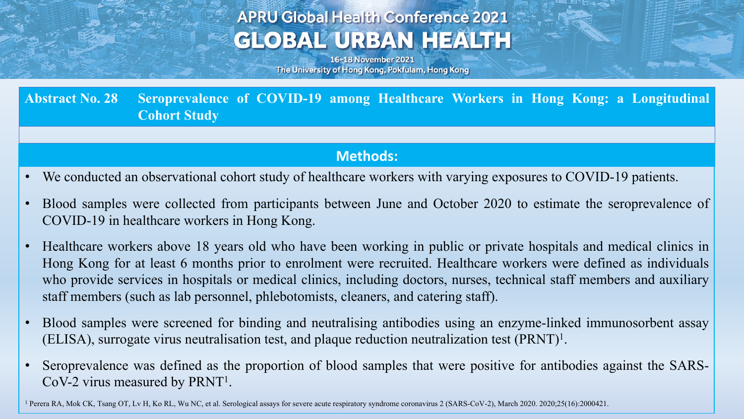# **APRU Global Health Conference 2021 GLOBAL URBAN HEALTH**

16-18 November 2021 The University of Hong Kong, Pokfulam, Hong Kong

**Abstract No. 28 Seroprevalence of COVID-19 among Healthcare Workers in Hong Kong: a Longitudinal Cohort Study**

#### **Methods:**

- We conducted an observational cohort study of healthcare workers with varying exposures to COVID-19 patients.
- Blood samples were collected from participants between June and October 2020 to estimate the seroprevalence of COVID-19 in healthcare workers in Hong Kong.
- Healthcare workers above 18 years old who have been working in public or private hospitals and medical clinics in Hong Kong for at least 6 months prior to enrolment were recruited. Healthcare workers were defined as individuals who provide services in hospitals or medical clinics, including doctors, nurses, technical staff members and auxiliary staff members (such as lab personnel, phlebotomists, cleaners, and catering staff).
- Blood samples were screened for binding and neutralising antibodies using an enzyme-linked immunosorbent assay (ELISA), surrogate virus neutralisation test, and plaque reduction neutralization test (PRNT)1.
- Seroprevalence was defined as the proportion of blood samples that were positive for antibodies against the SARS-CoV-2 virus measured by PRNT1.

<sup>1</sup> Perera RA, Mok CK, Tsang OT, Lv H, Ko RL, Wu NC, et al. Serological assays for severe acute respiratory syndrome coronavirus 2 (SARS-CoV-2), March 2020. 2020;25(16):2000421.